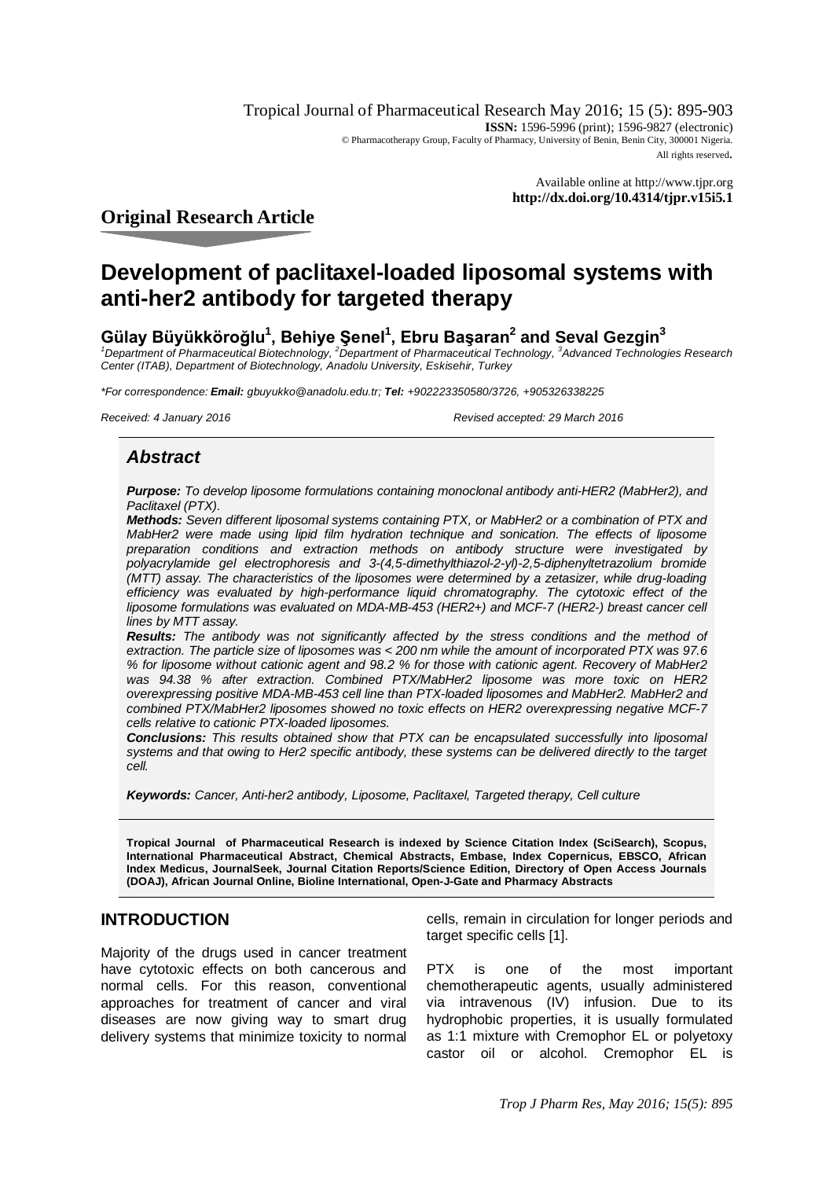Tropical Journal of Pharmaceutical Research May 2016; 15 (5): 895-903 **ISSN:** 1596-5996 (print); 1596-9827 (electronic) © Pharmacotherapy Group, Faculty of Pharmacy, University of Benin, Benin City, 300001 Nigeria. All rights reserved.

> Available online at <http://www.tjpr.org> **<http://dx.doi.org/10.4314/tjpr.v15i5.1>**

## **Original Research Article**

# **Development of paclitaxel-loaded liposomal systems with anti-her2 antibody for targeted therapy**

## **Gülay Büyükköroğlu<sup>1</sup> , Behiye Şenel<sup>1</sup> , Ebru Başaran<sup>2</sup> and Seval Gezgin<sup>3</sup>**

*<sup>1</sup>Department of Pharmaceutical Biotechnology, <sup>2</sup>Department of Pharmaceutical Technology, <sup>3</sup> Advanced Technologies Research Center (ITAB), Department of Biotechnology, Anadolu University, Eskisehir, Turkey*

*\*For correspondence: Email: [gbuyukko@anadolu.edu.tr;](mailto:gbuyukko@anadolu.edu.tr;) Tel: +902223350580/3726, +905326338225*

*Received: 4 January 2016 Revised accepted: 29 March 2016*

## *Abstract*

*Purpose: To develop liposome formulations containing monoclonal antibody anti-HER2 (MabHer2), and Paclitaxel (PTX).*

*Methods: Seven different liposomal systems containing PTX, or MabHer2 or a combination of PTX and MabHer2 were made using lipid film hydration technique and sonication. The effects of liposome preparation conditions and extraction methods on antibody structure were investigated by polyacrylamide gel electrophoresis and 3-(4,5-dimethylthiazol-2-yl)-2,5-diphenyltetrazolium bromide (MTT) assay. The characteristics of the liposomes were determined by a zetasizer, while drug-loading efficiency was evaluated by high-performance liquid chromatography. The cytotoxic effect of the liposome formulations was evaluated on MDA-MB-453 (HER2+) and MCF-7 (HER2-) breast cancer cell lines by MTT assay.* 

*Results: The antibody was not significantly affected by the stress conditions and the method of extraction. The particle size of liposomes was < 200 nm while the amount of incorporated PTX was 97.6 % for liposome without cationic agent and 98.2 % for those with cationic agent. Recovery of MabHer2 was 94.38 % after extraction. Combined PTX/MabHer2 liposome was more toxic on HER2 overexpressing positive MDA-MB-453 cell line than PTX-loaded liposomes and MabHer2. MabHer2 and combined PTX/MabHer2 liposomes showed no toxic effects on HER2 overexpressing negative MCF-7 cells relative to cationic PTX-loaded liposomes.*

*Conclusions: This results obtained show that PTX can be encapsulated successfully into liposomal systems and that owing to Her2 specific antibody, these systems can be delivered directly to the target cell.* 

*Keywords: Cancer, Anti-her2 antibody, Liposome, Paclitaxel, Targeted therapy, Cell culture*

**Tropical Journal of Pharmaceutical Research is indexed by Science Citation Index (SciSearch), Scopus, International Pharmaceutical Abstract, Chemical Abstracts, Embase, Index Copernicus, EBSCO, African Index Medicus, JournalSeek, Journal Citation Reports/Science Edition, Directory of Open Access Journals (DOAJ), African Journal Online, Bioline International, Open-J-Gate and Pharmacy Abstracts**

## **INTRODUCTION**

Majority of the drugs used in cancer treatment have cytotoxic effects on both cancerous and normal cells. For this reason, conventional approaches for treatment of cancer and viral diseases are now giving way to smart drug delivery systems that minimize toxicity to normal

cells, remain in circulation for longer periods and target specific cells [1].

PTX is one of the most important chemotherapeutic agents, usually administered via intravenous (IV) infusion. Due to its hydrophobic properties, it is usually formulated as 1:1 mixture with Cremophor EL or polyetoxy castor oil or alcohol. Cremophor EL is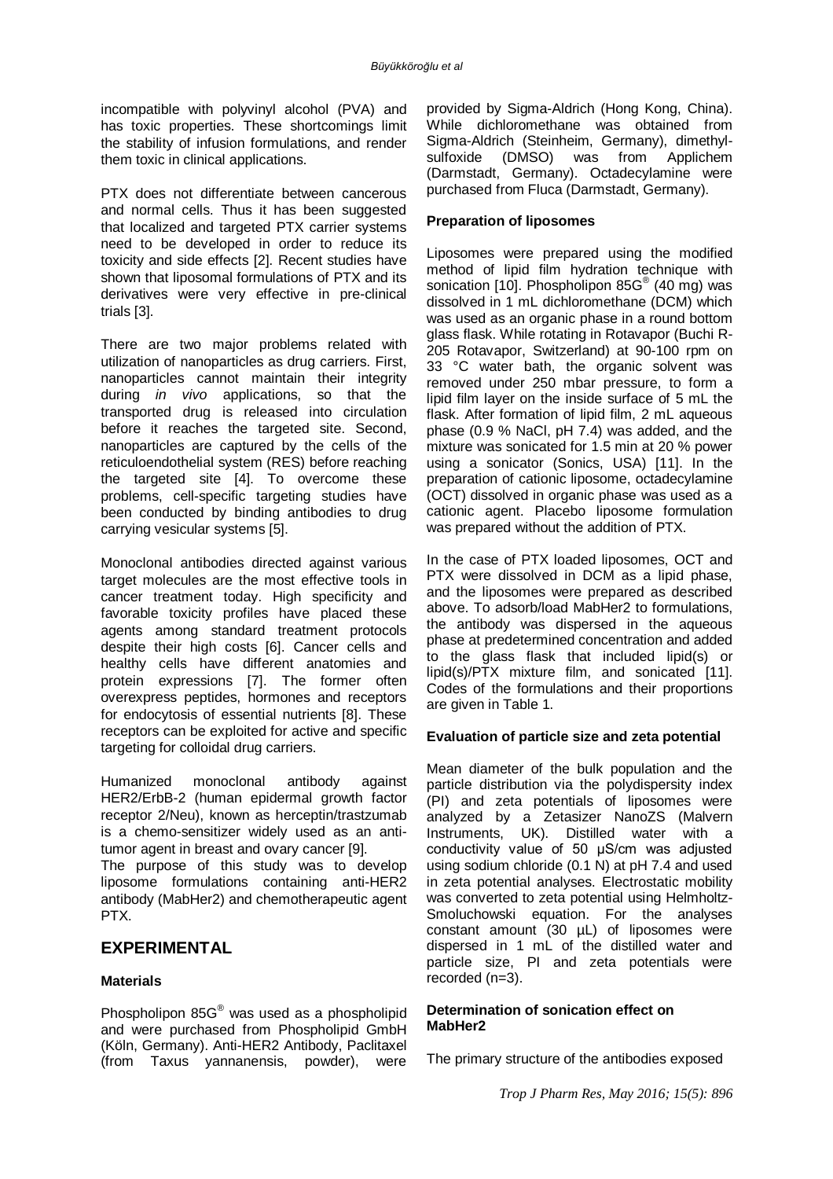incompatible with polyvinyl alcohol (PVA) and has toxic properties. These shortcomings limit the stability of infusion formulations, and render them toxic in clinical applications.

PTX does not differentiate between cancerous and normal cells. Thus it has been suggested that localized and targeted PTX carrier systems need to be developed in order to reduce its toxicity and side effects [2]. Recent studies have shown that liposomal formulations of PTX and its derivatives were very effective in pre-clinical trials [3].

There are two major problems related with utilization of nanoparticles as drug carriers. First, nanoparticles cannot maintain their integrity during *in vivo* applications, so that the transported drug is released into circulation before it reaches the targeted site. Second, nanoparticles are captured by the cells of the reticuloendothelial system (RES) before reaching the targeted site [4]. To overcome these problems, cell-specific targeting studies have been conducted by binding antibodies to drug carrying vesicular systems [5].

Monoclonal antibodies directed against various target molecules are the most effective tools in cancer treatment today. High specificity and favorable toxicity profiles have placed these agents among standard treatment protocols despite their high costs [6]. Cancer cells and healthy cells have different anatomies and protein expressions [7]. The former often overexpress peptides, hormones and receptors for endocytosis of essential nutrients [8]. These receptors can be exploited for active and specific targeting for colloidal drug carriers.

Humanized monoclonal antibody against HER2/ErbB-2 (human epidermal growth factor receptor 2/Neu), known as herceptin/trastzumab is a chemo-sensitizer widely used as an antitumor agent in breast and ovary cancer [9].

The purpose of this study was to develop liposome formulations containing anti-HER2 antibody (MabHer2) and chemotherapeutic agent PTX.

## **EXPERIMENTAL**

#### **Materials**

Phospholipon 85G® was used as a phospholipid and were purchased from Phospholipid GmbH (Köln, Germany). Anti-HER2 Antibody, Paclitaxel (from Taxus yannanensis, powder), were

provided by Sigma-Aldrich (Hong Kong, China). While dichloromethane was obtained from Sigma-Aldrich (Steinheim, Germany), dimethylsulfoxide (DMSO) was from Applichem (Darmstadt, Germany). Octadecylamine were purchased from Fluca (Darmstadt, Germany).

#### **Preparation of liposomes**

Liposomes were prepared using the modified method of lipid film hydration technique with sonication [10]. Phospholipon 85G<sup>®</sup> (40 mg) was dissolved in 1 mL dichloromethane (DCM) which was used as an organic phase in a round bottom glass flask. While rotating in Rotavapor (Buchi R-205 Rotavapor, Switzerland) at 90-100 rpm on 33 °C water bath, the organic solvent was removed under 250 mbar pressure, to form a lipid film layer on the inside surface of 5 mL the flask. After formation of lipid film, 2 mL aqueous phase (0.9 % NaCl, pH 7.4) was added, and the mixture was sonicated for 1.5 min at 20 % power using a sonicator (Sonics, USA) [11]. In the preparation of cationic liposome, octadecylamine (OCT) dissolved in organic phase was used as a cationic agent. Placebo liposome formulation was prepared without the addition of PTX.

In the case of PTX loaded liposomes, OCT and PTX were dissolved in DCM as a lipid phase, and the liposomes were prepared as described above. To adsorb/load MabHer2 to formulations, the antibody was dispersed in the aqueous phase at predetermined concentration and added to the glass flask that included lipid(s) or lipid(s)/PTX mixture film, and sonicated [11]. Codes of the formulations and their proportions are given in Table 1.

#### **Evaluation of particle size and zeta potential**

Mean diameter of the bulk population and the particle distribution via the polydispersity index (PI) and zeta potentials of liposomes were analyzed by a Zetasizer NanoZS (Malvern Instruments, UK). Distilled water with a conductivity value of 50 μS/cm was adjusted using sodium chloride (0.1 N) at pH 7.4 and used in zeta potential analyses. Electrostatic mobility was converted to zeta potential using Helmholtz-Smoluchowski equation. For the analyses constant amount (30 µL) of liposomes were dispersed in 1 mL of the distilled water and particle size, PI and zeta potentials were recorded (n=3).

#### **Determination of sonication effect on MabHer2**

The primary structure of the antibodies exposed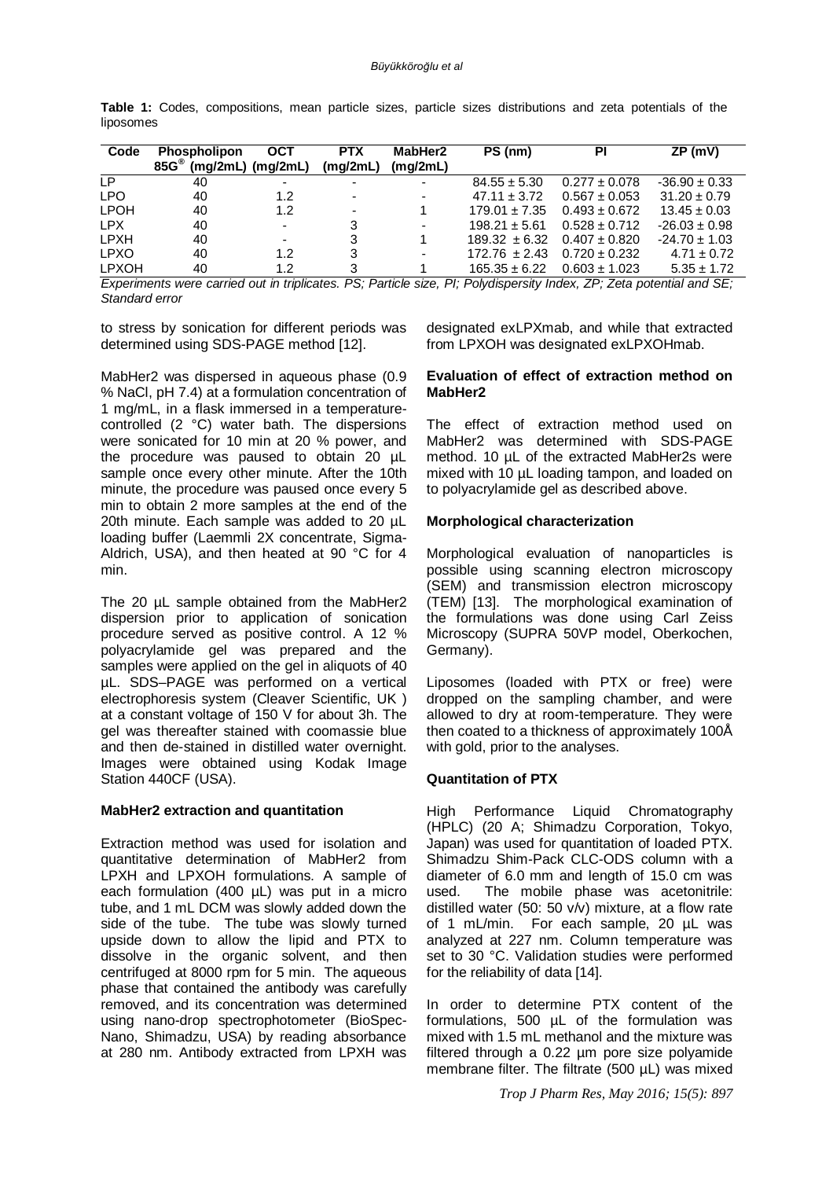|           |  | <b>Table 1:</b> Codes, compositions, mean particle sizes, particle sizes distributions and zeta potentials of the |  |  |  |  |  |  |
|-----------|--|-------------------------------------------------------------------------------------------------------------------|--|--|--|--|--|--|
| liposomes |  |                                                                                                                   |  |  |  |  |  |  |

| Code                                                                                                                     | <b>Phospholipon</b><br>$85G^{\circledcirc}$ | <b>OCT</b><br>$(mq/2mL)$ $(mq/2mL)$ | <b>PTX</b><br>(mg/2mL)   | MabHer2<br>(mq/2mL) | PS (nm)           | ΡI                | ZP (mV)           |  |  |
|--------------------------------------------------------------------------------------------------------------------------|---------------------------------------------|-------------------------------------|--------------------------|---------------------|-------------------|-------------------|-------------------|--|--|
| LP.                                                                                                                      | 40                                          | $\overline{\phantom{0}}$            |                          |                     | $84.55 \pm 5.30$  | $0.277 \pm 0.078$ | $-36.90 \pm 0.33$ |  |  |
| <b>LPO</b>                                                                                                               | 40                                          | 1.2                                 |                          |                     | $47.11 \pm 3.72$  | $0.567 \pm 0.053$ | $31.20 \pm 0.79$  |  |  |
| <b>LPOH</b>                                                                                                              | 40                                          | 1.2                                 | $\overline{\phantom{0}}$ |                     | $179.01 \pm 7.35$ | $0.493 \pm 0.672$ | $13.45 \pm 0.03$  |  |  |
| LPX.                                                                                                                     | 40                                          | $\overline{\phantom{0}}$            | 3                        |                     | $198.21 \pm 5.61$ | $0.528 \pm 0.712$ | $-26.03 \pm 0.98$ |  |  |
| LPXH                                                                                                                     | 40                                          | $\overline{\phantom{0}}$            | 3                        |                     | $189.32 \pm 6.32$ | $0.407 \pm 0.820$ | $-24.70 \pm 1.03$ |  |  |
| <b>LPXO</b>                                                                                                              | 40                                          | 1.2                                 | 3                        | ۰.                  | $172.76 \pm 2.43$ | $0.720 \pm 0.232$ | $4.71 \pm 0.72$   |  |  |
| <b>LPXOH</b>                                                                                                             | 40                                          | 1.2                                 |                          |                     | $165.35 \pm 6.22$ | $0.603 \pm 1.023$ | $5.35 \pm 1.72$   |  |  |
| Evneriments were carried out in trinlicates<br>DS: Particla siza<br>PI: Polydisnarsity Inday, 7P: 7ata notantial and SE: |                                             |                                     |                          |                     |                   |                   |                   |  |  |

*Experiments were carried out in triplicates. PS; Particle size, PI; Polydispersity Index, ZP; Zeta potential and SE; Standard error*

to stress by sonication for different periods was determined using SDS-PAGE method [12].

MabHer2 was dispersed in aqueous phase (0.9 % NaCl, pH 7.4) at a formulation concentration of 1 mg/mL, in a flask immersed in a temperaturecontrolled (2 °C) water bath. The dispersions were sonicated for 10 min at 20 % power, and the procedure was paused to obtain 20 µL sample once every other minute. After the 10th minute, the procedure was paused once every 5 min to obtain 2 more samples at the end of the 20th minute. Each sample was added to 20 µL loading buffer (Laemmli 2X concentrate, Sigma-Aldrich, USA), and then heated at 90 °C for 4 min.

The 20 µL sample obtained from the MabHer2 dispersion prior to application of sonication procedure served as positive control. A 12 % polyacrylamide gel was prepared and the samples were applied on the gel in aliquots of 40 µL. SDS–PAGE was performed on a vertical electrophoresis system (Cleaver Scientific, UK ) at a constant voltage of 150 V for about 3h. The gel was thereafter stained with coomassie blue and then de-stained in distilled water overnight. Images were obtained using Kodak Image Station 440CF (USA).

#### **MabHer2 extraction and quantitation**

Extraction method was used for isolation and quantitative determination of MabHer2 from LPXH and LPXOH formulations. A sample of each formulation (400 µL) was put in a micro tube, and 1 mL DCM was slowly added down the side of the tube. The tube was slowly turned upside down to allow the lipid and PTX to dissolve in the organic solvent, and then centrifuged at 8000 rpm for 5 min. The aqueous phase that contained the antibody was carefully removed, and its concentration was determined using nano-drop spectrophotometer (BioSpec-Nano, Shimadzu, USA) by reading absorbance at 280 nm. Antibody extracted from LPXH was

designated exLPXmab, and while that extracted from LPXOH was designated exLPXOHmab.

#### **Evaluation of effect of extraction method on MabHer2**

The effect of extraction method used on MabHer2 was determined with SDS-PAGE method. 10 µL of the extracted MabHer2s were mixed with 10 µL loading tampon, and loaded on to polyacrylamide gel as described above.

#### **Morphological characterization**

Morphological evaluation of nanoparticles is possible using scanning electron microscopy (SEM) and transmission electron microscopy (TEM) [13]. The morphological examination of the formulations was done using Carl Zeiss Microscopy (SUPRA 50VP model, Oberkochen, Germany).

Liposomes (loaded with PTX or free) were dropped on the sampling chamber, and were allowed to dry at room-temperature. They were then coated to a thickness of approximately 100Å with gold, prior to the analyses.

#### **Quantitation of PTX**

High Performance Liquid Chromatography (HPLC) (20 A; Shimadzu Corporation, Tokyo, Japan) was used for quantitation of loaded PTX. Shimadzu Shim-Pack CLC-ODS column with a diameter of 6.0 mm and length of 15.0 cm was used. The mobile phase was acetonitrile: distilled water (50: 50 v/v) mixture, at a flow rate of 1 mL/min. For each sample, 20 µL was analyzed at 227 nm. Column temperature was set to 30 °C. Validation studies were performed for the reliability of data [14].

In order to determine PTX content of the formulations, 500 µL of the formulation was mixed with 1.5 mL methanol and the mixture was filtered through a 0.22 µm pore size polyamide membrane filter. The filtrate (500 µL) was mixed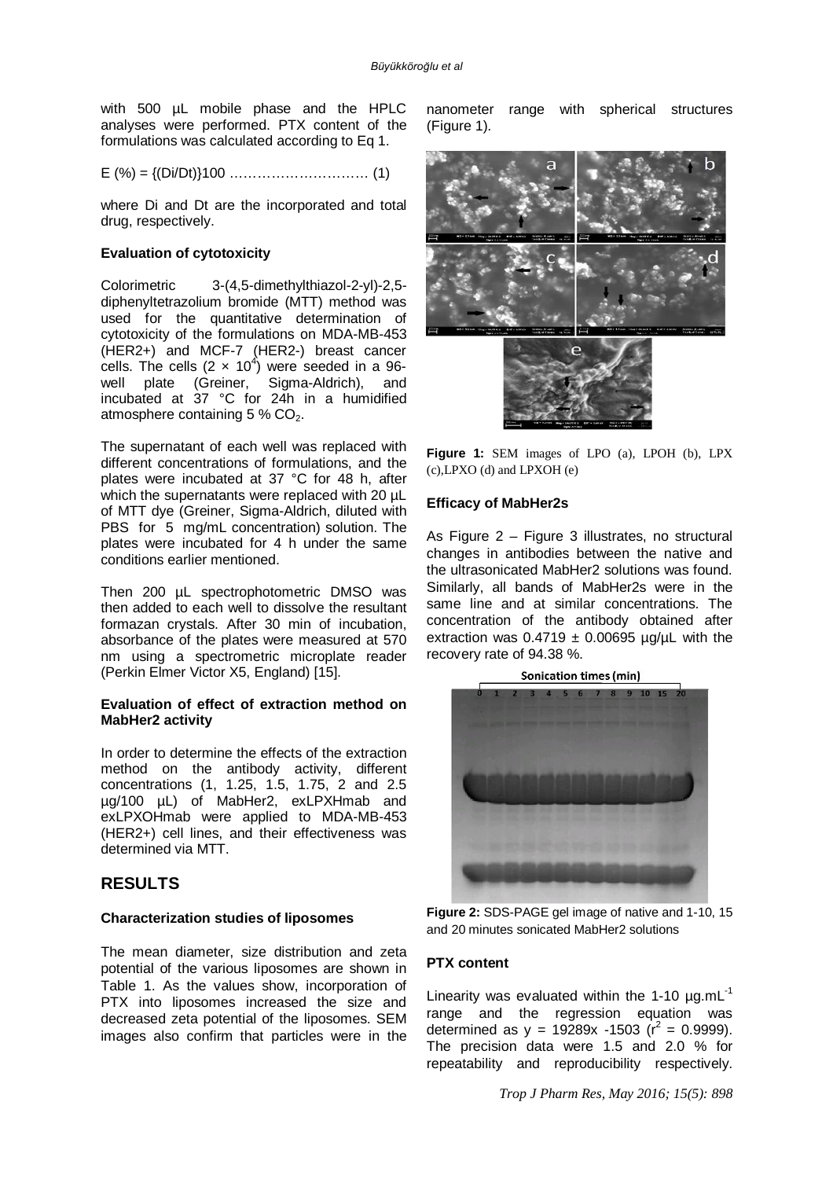with 500 µL mobile phase and the HPLC analyses were performed. PTX content of the formulations was calculated according to Eq 1.

$$
E( %) = \{ (Di/Dt) \} 100 \dots (1)
$$

where Di and Dt are the incorporated and total drug, respectively.

#### **Evaluation of cytotoxicity**

Colorimetric 3-(4,5-dimethylthiazol-2-yl)-2,5 diphenyltetrazolium bromide (MTT) method was used for the quantitative determination of cytotoxicity of the formulations on MDA-MB-453 (HER2+) and MCF-7 (HER2-) breast cancer cells. The cells  $(2 \times 10^4)$  were seeded in a 96well plate (Greiner, Sigma-Aldrich), and incubated at 37 °C for 24h in a humidified atmosphere containing  $5\%$  CO<sub>2</sub>.

The supernatant of each well was replaced with different concentrations of formulations, and the plates were incubated at 37 °C for 48 h, after which the supernatants were replaced with 20  $\mu$ L of MTT dye (Greiner, Sigma-Aldrich, diluted with PBS for 5 mg/mL concentration) solution. The plates were incubated for 4 h under the same conditions earlier mentioned.

Then 200 uL spectrophotometric DMSO was then added to each well to dissolve the resultant formazan crystals. After 30 min of incubation, absorbance of the plates were measured at 570 nm using a spectrometric microplate reader (Perkin Elmer Victor X5, England) [15].

#### **Evaluation of effect of extraction method on MabHer2 activity**

In order to determine the effects of the extraction method on the antibody activity, different concentrations (1, 1.25, 1.5, 1.75, 2 and 2.5 µg/100 µL) of MabHer2, exLPXHmab and exLPXOHmab were applied to MDA-MB-453 (HER2+) cell lines, and their effectiveness was determined via MTT.

## **RESULTS**

#### **Characterization studies of liposomes**

The mean diameter, size distribution and zeta potential of the various liposomes are shown in Table 1. As the values show, incorporation of PTX into liposomes increased the size and decreased zeta potential of the liposomes. SEM images also confirm that particles were in the nanometer range with spherical structures (Figure 1).



**Figure 1:** SEM images of LPO (a), LPOH (b), LPX (c),LPXO (d) and LPXOH (e)

#### **Efficacy of MabHer2s**

As Figure 2 – Figure 3 illustrates, no structural changes in antibodies between the native and the ultrasonicated MabHer2 solutions was found. Similarly, all bands of MabHer2s were in the same line and at similar concentrations. The concentration of the antibody obtained after extraction was  $0.4719 \pm 0.00695$  µg/µL with the recovery rate of 94.38 %.



**Figure 2:** SDS-PAGE gel image of native and 1-10, 15 and 20 minutes sonicated MabHer2 solutions

#### **PTX content**

Linearity was evaluated within the 1-10  $\mu$ g.mL $^{-1}$ range and the regression equation was determined as  $y = 19289x - 1503$  ( $r^2 = 0.9999$ ). The precision data were 1.5 and 2.0 % for repeatability and reproducibility respectively.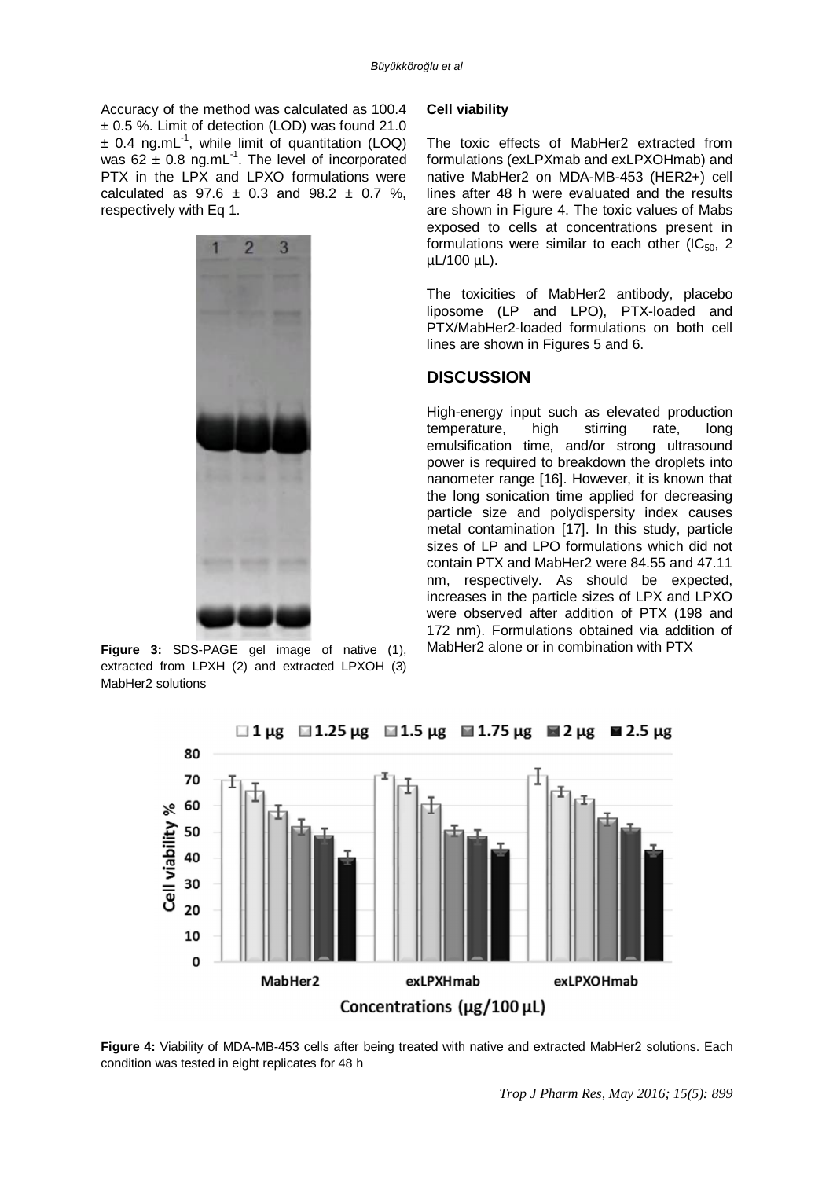Accuracy of the method was calculated as 100.4 ± 0.5 %. Limit of detection (LOD) was found 21.0  $\pm$  0.4 ng.mL<sup>-1</sup>, while limit of quantitation (LOQ) was 62  $\pm$  0.8 ng.mL<sup>1</sup>. The level of incorporated PTX in the LPX and LPXO formulations were calculated as  $97.6 \pm 0.3$  and  $98.2 \pm 0.7$  %. respectively with Eq 1.



**Figure 3:** SDS-PAGE gel image of native (1), extracted from LPXH (2) and extracted LPXOH (3) MabHer2 solutions

#### **Cell viability**

The toxic effects of MabHer2 extracted from formulations (exLPXmab and exLPXOHmab) and native MabHer2 on MDA-MB-453 (HER2+) cell lines after 48 h were evaluated and the results are shown in Figure 4. The toxic values of Mabs exposed to cells at concentrations present in formulations were similar to each other  $(IC_{50}, 2)$ µL/100 µL).

The toxicities of MabHer2 antibody, placebo liposome (LP and LPO), PTX-loaded and PTX/MabHer2-loaded formulations on both cell lines are shown in Figures 5 and 6.

## **DISCUSSION**

High-energy input such as elevated production temperature, high stirring rate, long emulsification time, and/or strong ultrasound power is required to breakdown the droplets into nanometer range [16]. However, it is known that the long sonication time applied for decreasing particle size and polydispersity index causes metal contamination [17]. In this study, particle sizes of LP and LPO formulations which did not contain PTX and MabHer2 were 84.55 and 47.11 nm, respectively. As should be expected, increases in the particle sizes of LPX and LPXO were observed after addition of PTX (198 and 172 nm). Formulations obtained via addition of MabHer2 alone or in combination with PTX



**Figure 4:** Viability of MDA-MB-453 cells after being treated with native and extracted MabHer2 solutions. Each condition was tested in eight replicates for 48 h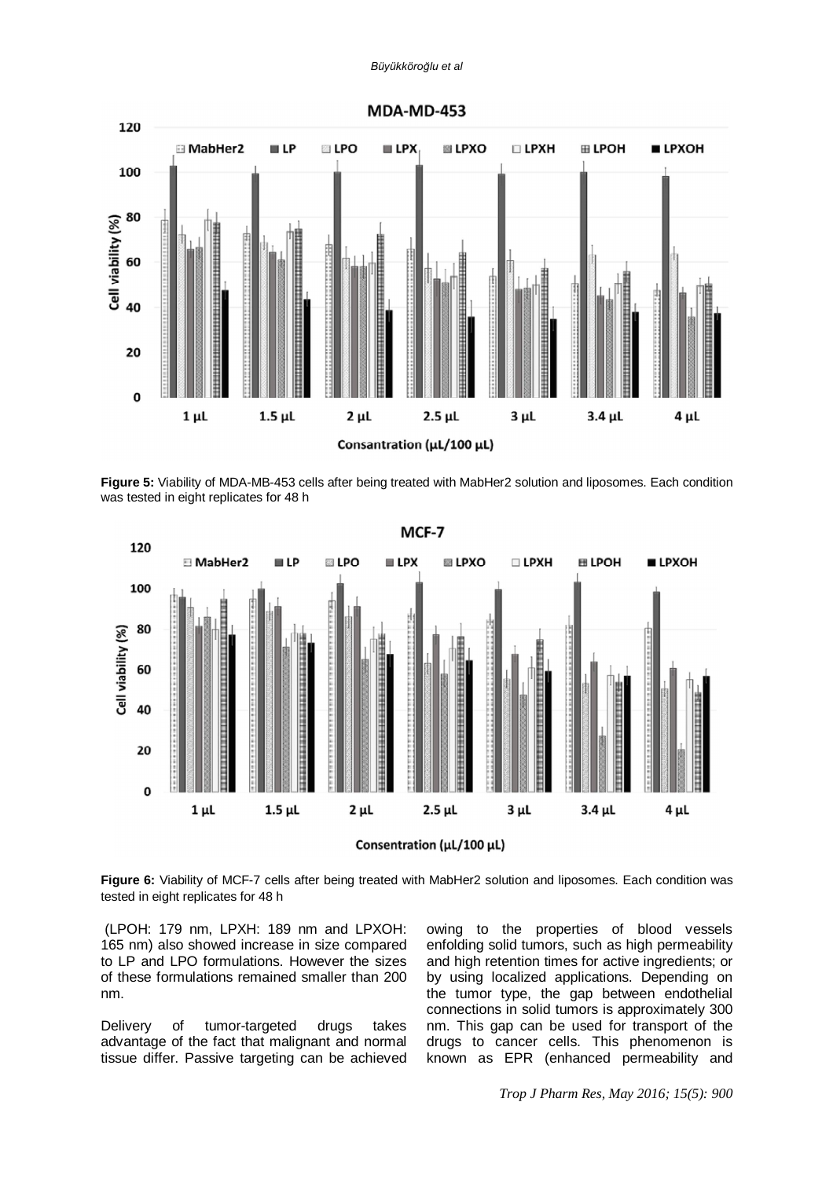#### *Büyükköroğlu et al*



**Figure 5:** Viability of MDA-MB-453 cells after being treated with MabHer2 solution and liposomes. Each condition was tested in eight replicates for 48 h



**Figure 6:** Viability of MCF-7 cells after being treated with MabHer2 solution and liposomes. Each condition was tested in eight replicates for 48 h

(LPOH: 179 nm, LPXH: 189 nm and LPXOH: 165 nm) also showed increase in size compared to LP and LPO formulations. However the sizes of these formulations remained smaller than 200 nm.

Delivery of tumor-targeted drugs takes advantage of the fact that malignant and normal tissue differ. Passive targeting can be achieved

owing to the properties of blood vessels enfolding solid tumors, such as high permeability and high retention times for active ingredients; or by using localized applications. Depending on the tumor type, the gap between endothelial connections in solid tumors is approximately 300 nm. This gap can be used for transport of the drugs to cancer cells. This phenomenon is known as EPR (enhanced permeability and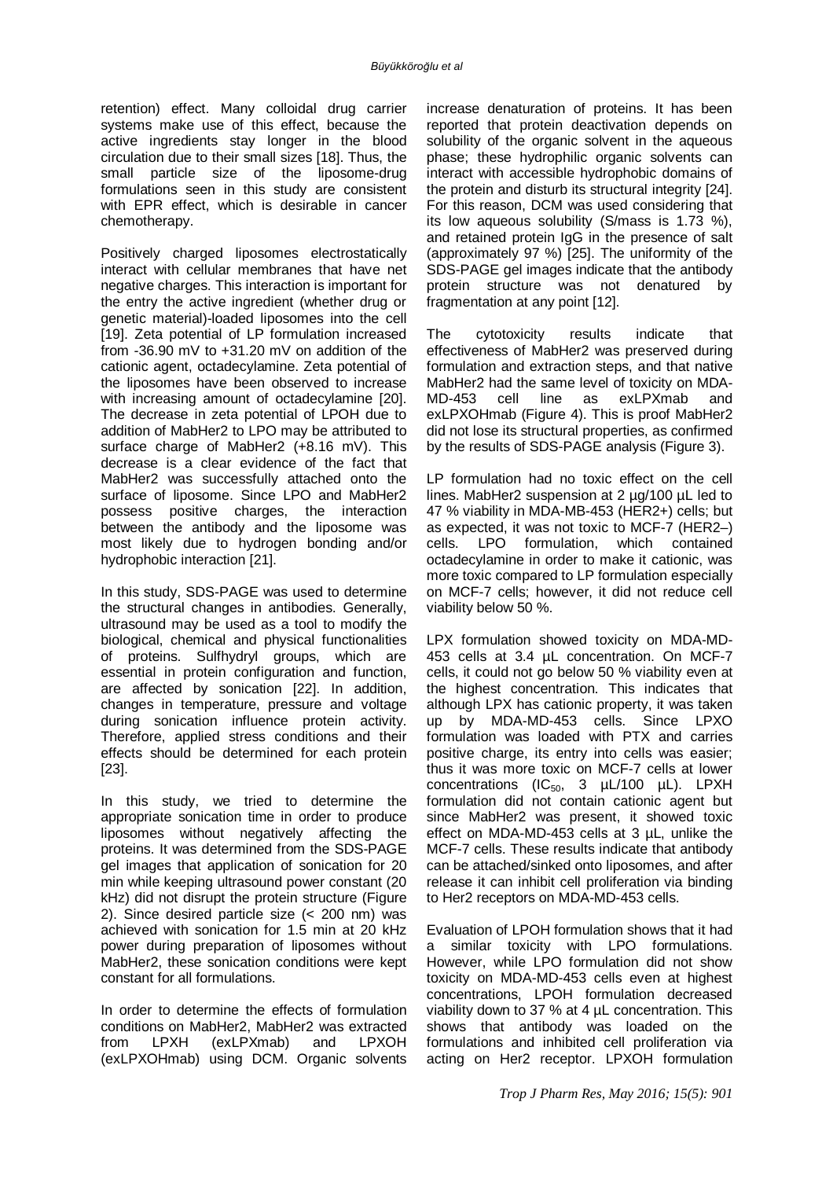retention) effect. Many colloidal drug carrier systems make use of this effect, because the active ingredients stay longer in the blood circulation due to their small sizes [18]. Thus, the small particle size of the liposome-drug formulations seen in this study are consistent with EPR effect, which is desirable in cancer chemotherapy.

Positively charged liposomes electrostatically interact with cellular membranes that have net negative charges. This interaction is important for the entry the active ingredient (whether drug or genetic material)-loaded liposomes into the cell [19]. Zeta potential of LP formulation increased from  $-36.90$  mV to  $+31.20$  mV on addition of the cationic agent, octadecylamine. Zeta potential of the liposomes have been observed to increase with increasing amount of octadecylamine [20]. The decrease in zeta potential of LPOH due to addition of MabHer2 to LPO may be attributed to surface charge of MabHer2 (+8.16 mV). This decrease is a clear evidence of the fact that MabHer2 was successfully attached onto the surface of liposome. Since LPO and MabHer2 possess positive charges, the interaction between the antibody and the liposome was most likely due to hydrogen bonding and/or hydrophobic interaction [21].

In this study, SDS-PAGE was used to determine the structural changes in antibodies. Generally, ultrasound may be used as a tool to modify the biological, chemical and physical functionalities of proteins. Sulfhydryl groups, which are essential in protein configuration and function, are affected by sonication [22]. In addition, changes in temperature, pressure and voltage during sonication influence protein activity. Therefore, applied stress conditions and their effects should be determined for each protein [23].

In this study, we tried to determine the appropriate sonication time in order to produce liposomes without negatively affecting the proteins. It was determined from the SDS-PAGE gel images that application of sonication for 20 min while keeping ultrasound power constant (20 kHz) did not disrupt the protein structure (Figure 2). Since desired particle size (< 200 nm) was achieved with sonication for 1.5 min at 20 kHz power during preparation of liposomes without MabHer2, these sonication conditions were kept constant for all formulations.

In order to determine the effects of formulation conditions on MabHer2, MabHer2 was extracted from LPXH (exLPXmab) and LPXOH (exLPXOHmab) using DCM. Organic solvents

increase denaturation of proteins. It has been reported that protein deactivation depends on solubility of the organic solvent in the aqueous phase; these hydrophilic organic solvents can interact with accessible hydrophobic domains of the protein and disturb its structural integrity [24]. For this reason, DCM was used considering that its low aqueous solubility (S/mass is 1.73 %), and retained protein IgG in the presence of salt (approximately 97 %) [25]. The uniformity of the SDS-PAGE gel images indicate that the antibody protein structure was not denatured by fragmentation at any point [12].

The cytotoxicity results indicate that effectiveness of MabHer2 was preserved during formulation and extraction steps, and that native MabHer2 had the same level of toxicity on MDA-<br>MD-453 cell line as exLPXmab and MD-453 cell line as exLPXmab and exLPXOHmab (Figure 4). This is proof MabHer2 did not lose its structural properties, as confirmed by the results of SDS-PAGE analysis (Figure 3).

LP formulation had no toxic effect on the cell lines. MabHer2 suspension at 2 ug/100 uL led to 47 % viability in MDA-MB-453 (HER2+) cells; but as expected, it was not toxic to MCF-7 (HER2–)<br>cells. LPO formulation, which contained cells. LPO formulation, which contained octadecylamine in order to make it cationic, was more toxic compared to LP formulation especially on MCF-7 cells; however, it did not reduce cell viability below 50 %.

LPX formulation showed toxicity on MDA-MD-453 cells at 3.4 µL concentration. On MCF-7 cells, it could not go below 50 % viability even at the highest concentration. This indicates that although LPX has cationic property, it was taken up by MDA-MD-453 cells. Since LPXO formulation was loaded with PTX and carries positive charge, its entry into cells was easier; thus it was more toxic on MCF-7 cells at lower concentrations  $(IC_{50}$ , 3  $\mu L/100 \mu L)$ . LPXH formulation did not contain cationic agent but since MabHer2 was present, it showed toxic effect on MDA-MD-453 cells at 3 µL, unlike the MCF-7 cells. These results indicate that antibody can be attached/sinked onto liposomes, and after release it can inhibit cell proliferation via binding to Her2 receptors on MDA-MD-453 cells.

Evaluation of LPOH formulation shows that it had a similar toxicity with LPO formulations. However, while LPO formulation did not show toxicity on MDA-MD-453 cells even at highest concentrations, LPOH formulation decreased viability down to 37 % at 4 µL concentration. This shows that antibody was loaded on the formulations and inhibited cell proliferation via acting on Her2 receptor. LPXOH formulation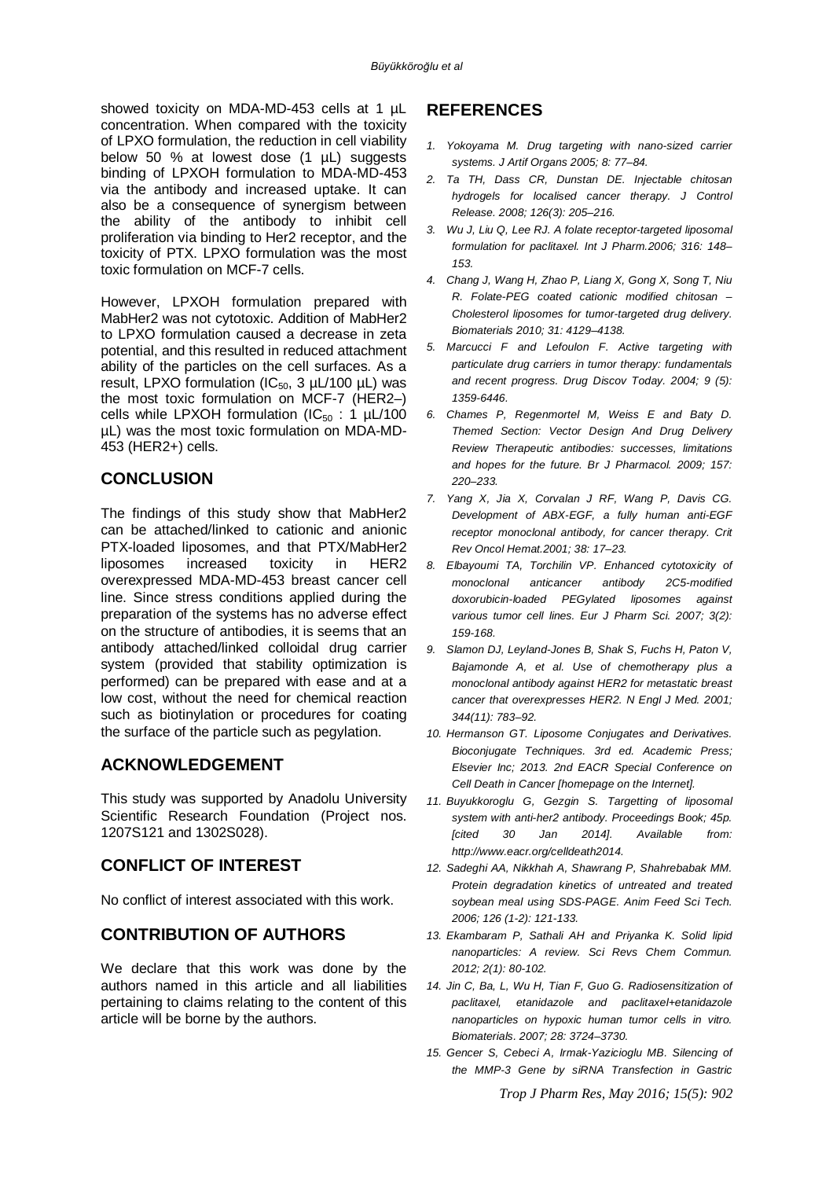showed toxicity on MDA-MD-453 cells at 1 µL concentration. When compared with the toxicity of LPXO formulation, the reduction in cell viability below 50 % at lowest dose (1 µL) suggests binding of LPXOH formulation to MDA-MD-453 via the antibody and increased uptake. It can also be a consequence of synergism between the ability of the antibody to inhibit cell proliferation via binding to Her2 receptor, and the toxicity of PTX. LPXO formulation was the most toxic formulation on MCF-7 cells.

However, LPXOH formulation prepared with MabHer2 was not cytotoxic. Addition of MabHer2 to LPXO formulation caused a decrease in zeta potential, and this resulted in reduced attachment ability of the particles on the cell surfaces. As a result, LPXO formulation ( $IC_{50}$ , 3  $\mu$ L/100  $\mu$ L) was the most toxic formulation on MCF-7 (HER2–) cells while LPXOH formulation ( $IC_{50}$  : 1  $\mu$ L/100 µL) was the most toxic formulation on MDA-MD-453 (HER2+) cells.

## **CONCLUSION**

The findings of this study show that MabHer2 can be attached/linked to cationic and anionic PTX-loaded liposomes, and that PTX/MabHer2 liposomes increased toxicity in HER2 overexpressed MDA-MD-453 breast cancer cell line. Since stress conditions applied during the preparation of the systems has no adverse effect on the structure of antibodies, it is seems that an antibody attached/linked colloidal drug carrier system (provided that stability optimization is performed) can be prepared with ease and at a low cost, without the need for chemical reaction such as biotinylation or procedures for coating the surface of the particle such as pegylation.

### **ACKNOWLEDGEMENT**

This study was supported by Anadolu University Scientific Research Foundation (Project nos. 1207S121 and 1302S028).

## **CONFLICT OF INTEREST**

No conflict of interest associated with this work.

## **CONTRIBUTION OF AUTHORS**

We declare that this work was done by the authors named in this article and all liabilities pertaining to claims relating to the content of this article will be borne by the authors.

## **REFERENCES**

- *1. Yokoyama M. Drug targeting with nano-sized carrier systems. J Artif Organs 2005; 8: 77–84.*
- *2. Ta TH, Dass CR, Dunstan DE. Injectable chitosan hydrogels for localised cancer therapy. J Control Release. 2008; 126(3): 205–216.*
- *3. Wu J, Liu Q, Lee RJ. A folate receptor-targeted liposomal formulation for paclitaxel. Int J Pharm.2006; 316: 148– 153.*
- *4. Chang J, Wang H, Zhao P, Liang X, Gong X, Song T, Niu R. Folate-PEG coated cationic modified chitosan – Cholesterol liposomes for tumor-targeted drug delivery. Biomaterials 2010; 31: 4129–4138.*
- *5. Marcucci F and Lefoulon F. Active targeting with particulate drug carriers in tumor therapy: fundamentals and recent progress. Drug Discov Today. 2004; 9 (5): 1359-6446.*
- *6. Chames P, Regenmortel M, Weiss E and Baty D. Themed Section: Vector Design And Drug Delivery Review Therapeutic antibodies: successes, limitations and hopes for the future. Br J Pharmacol. 2009; 157: 220–233.*
- *7. Yang X, Jia X, Corvalan J RF, Wang P, Davis CG. Development of ABX-EGF, a fully human anti-EGF receptor monoclonal antibody, for cancer therapy. Crit Rev Oncol Hemat.2001; 38: 17–23.*
- *8. Elbayoumi TA, Torchilin VP. Enhanced cytotoxicity of monoclonal anticancer antibody 2C5-modified doxorubicin-loaded PEGylated liposomes against various tumor cell lines. Eur J Pharm Sci. 2007; 3(2): 159-168.*
- *9. Slamon DJ, Leyland-Jones B, Shak S, Fuchs H, Paton V, Bajamonde A, et al. Use of chemotherapy plus a monoclonal antibody against HER2 for metastatic breast cancer that overexpresses HER2. N Engl J Med. 2001; 344(11): 783–92.*
- *10. Hermanson GT. Liposome Conjugates and Derivatives. Bioconjugate Techniques. 3rd ed. Academic Press; Elsevier Inc; 2013. 2nd EACR Special Conference on Cell Death in Cancer [homepage on the Internet].*
- *11. Buyukkoroglu G, Gezgin S. Targetting of liposomal system with anti-her2 antibody. Proceedings Book; 45p. [cited 30 Jan 2014]. Available from: <http://www.eacr.org/celldeath2014.>*
- *12. Sadeghi AA, Nikkhah A, Shawrang P, Shahrebabak MM. Protein degradation kinetics of untreated and treated soybean meal using SDS-PAGE. Anim Feed Sci Tech. 2006; 126 (1-2): 121-133.*
- *13. Ekambaram P, Sathali AH and Priyanka K. Solid lipid nanoparticles: A review. Sci Revs Chem Commun. 2012; 2(1): 80-102.*
- *14. Jin C, Ba, L, Wu H, Tian F, Guo G. Radiosensitization of paclitaxel, etanidazole and paclitaxel+etanidazole nanoparticles on hypoxic human tumor cells in vitro. Biomaterials. 2007; 28: 3724–3730.*
- *15. Gencer S, Cebeci A, Irmak-Yazicioglu MB. Silencing of the MMP-3 Gene by siRNA Transfection in Gastric*